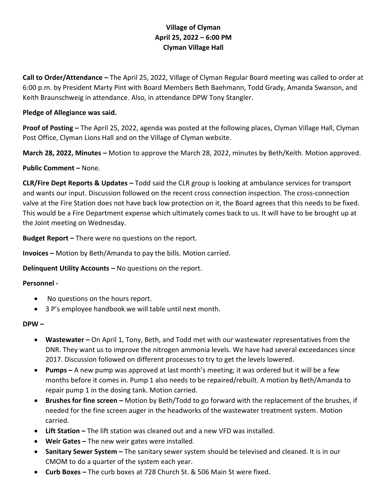# **Village of Clyman April 25, 2022 – 6:00 PM Clyman Village Hall**

**Call to Order/Attendance –** The April 25, 2022, Village of Clyman Regular Board meeting was called to order at 6:00 p.m. by President Marty Pint with Board Members Beth Baehmann, Todd Grady, Amanda Swanson, and Keith Braunschweig in attendance. Also, in attendance DPW Tony Stangler.

### **Pledge of Allegiance was said.**

**Proof of Posting –** The April 25, 2022, agenda was posted at the following places, Clyman Village Hall, Clyman Post Office, Clyman Lions Hall and on the Village of Clyman website.

**March 28, 2022, Minutes –** Motion to approve the March 28, 2022, minutes by Beth/Keith. Motion approved.

#### **Public Comment –** None.

**CLR/Fire Dept Reports & Updates –** Todd said the CLR group is looking at ambulance services for transport and wants our input. Discussion followed on the recent cross connection inspection. The cross-connection valve at the Fire Station does not have back low protection on it, the Board agrees that this needs to be fixed. This would be a Fire Department expense which ultimately comes back to us. It will have to be brought up at the Joint meeting on Wednesday.

**Budget Report –** There were no questions on the report.

**Invoices –** Motion by Beth/Amanda to pay the bills. Motion carried.

## **Delinquent Utility Accounts –** No questions on the report.

## **Personnel -**

- No questions on the hours report.
- 3 P's employee handbook we will table until next month.

#### **DPW –**

- **Wastewater –** On April 1, Tony, Beth, and Todd met with our wastewater representatives from the DNR. They want us to improve the nitrogen ammonia levels. We have had several exceedances since 2017. Discussion followed on different processes to try to get the levels lowered.
- **Pumps –** A new pump was approved at last month's meeting; it was ordered but it will be a few months before it comes in. Pump 1 also needs to be repaired/rebuilt. A motion by Beth/Amanda to repair pump 1 in the dosing tank. Motion carried.
- **Brushes for fine screen –** Motion by Beth/Todd to go forward with the replacement of the brushes, if needed for the fine screen auger in the headworks of the wastewater treatment system. Motion carried.
- **Lift Station –** The lift station was cleaned out and a new VFD was installed.
- **Weir Gates –** The new weir gates were installed.
- **Sanitary Sewer System –** The sanitary sewer system should be televised and cleaned. It is in our CMOM to do a quarter of the system each year.
- **Curb Boxes –** The curb boxes at 728 Church St. & 506 Main St were fixed.